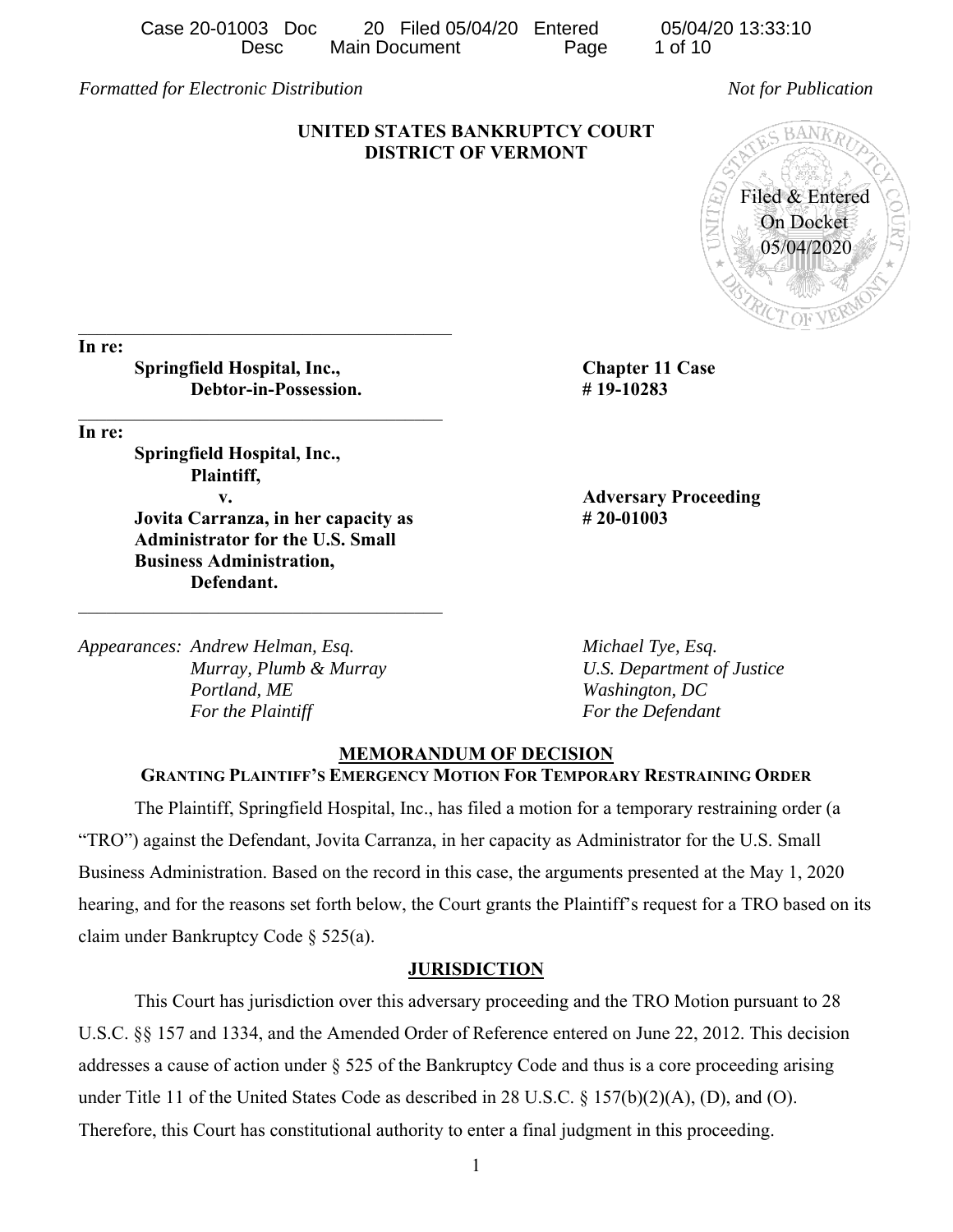Case 20-01003 Doc 20 Filed 05/04/20 Entered 05/04/20 13:33:10 Desc Main Document Page

*Formatted for Electronic Distribution*  $\blacksquare$ 

# **UNITED STATES BANKRUPTCY COURT DISTRICT OF VERMONT**



**In re:** 

 **Springfield Hospital, Inc., Chapter 11 Case Debtor-in-Possession. # 19-10283** 

**In re:** 

 **Springfield Hospital, Inc., Plaintiff, v. Adversary Proceeding Jovita Carranza, in her capacity as**  $\sharp$  **20-01003 Administrator for the U.S. Small Business Administration, Defendant.** 

*Appearances: Andrew Helman, Esq. Michael Tye, Esq. Portland, ME Washington, DC For the Plaintiff* For the Defendant

 *Murray, Plumb & Murray U.S. Department of Justice* 

#### **MEMORANDUM OF DECISION GRANTING PLAINTIFF'S EMERGENCY MOTION FOR TEMPORARY RESTRAINING ORDER**

 The Plaintiff, Springfield Hospital, Inc., has filed a motion for a temporary restraining order (a "TRO") against the Defendant, Jovita Carranza, in her capacity as Administrator for the U.S. Small Business Administration. Based on the record in this case, the arguments presented at the May 1, 2020 hearing, and for the reasons set forth below, the Court grants the Plaintiff's request for a TRO based on its claim under Bankruptcy Code § 525(a).

#### **JURISDICTION**

This Court has jurisdiction over this adversary proceeding and the TRO Motion pursuant to 28 U.S.C. §§ 157 and 1334, and the Amended Order of Reference entered on June 22, 2012. This decision addresses a cause of action under § 525 of the Bankruptcy Code and thus is a core proceeding arising under Title 11 of the United States Code as described in 28 U.S.C. § 157(b)(2)(A), (D), and (O). Therefore, this Court has constitutional authority to enter a final judgment in this proceeding.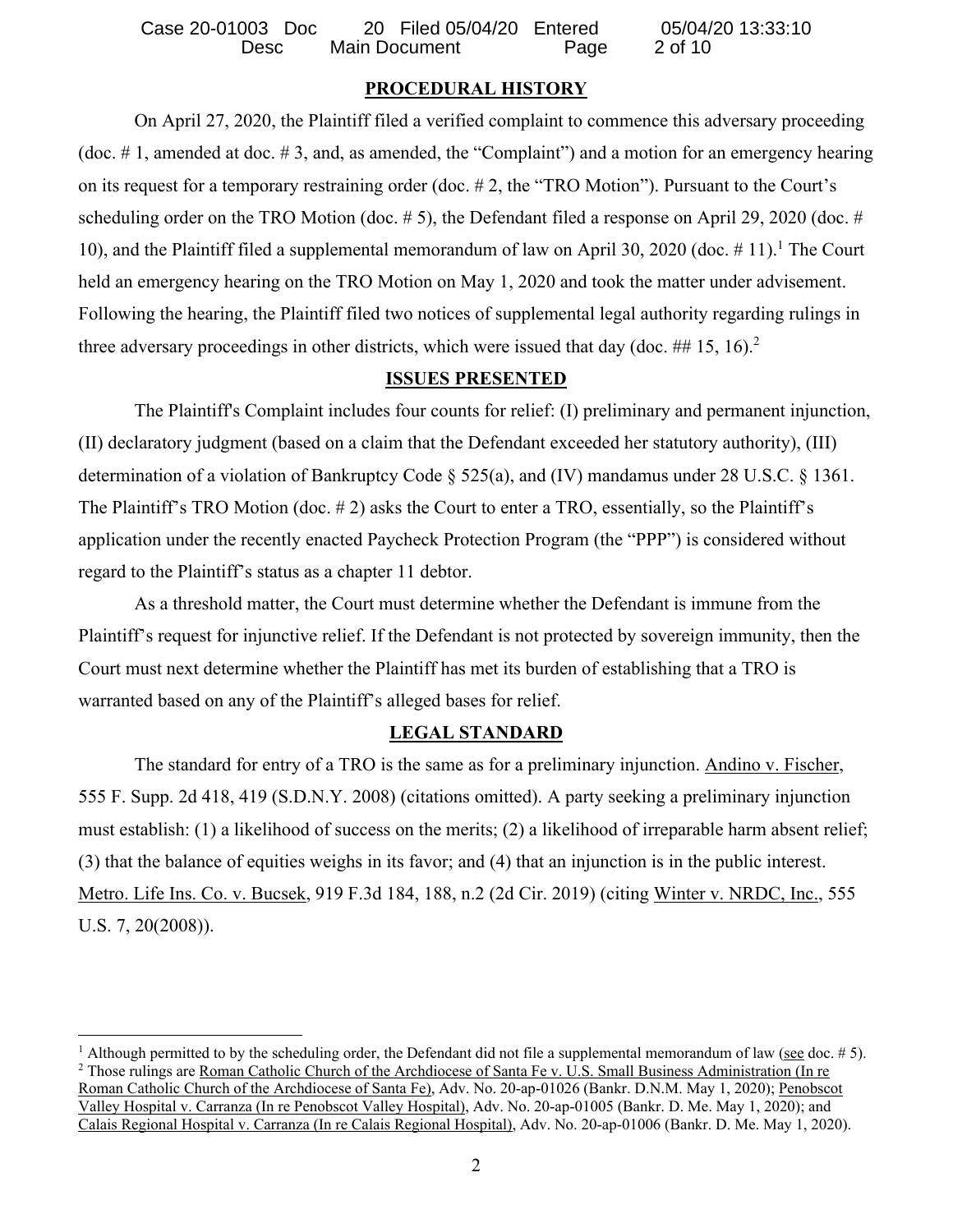#### **PROCEDURAL HISTORY**

 On April 27, 2020, the Plaintiff filed a verified complaint to commence this adversary proceeding (doc. # 1, amended at doc. # 3, and, as amended, the "Complaint") and a motion for an emergency hearing on its request for a temporary restraining order (doc. # 2, the "TRO Motion"). Pursuant to the Court's scheduling order on the TRO Motion (doc. # 5), the Defendant filed a response on April 29, 2020 (doc. # 10), and the Plaintiff filed a supplemental memorandum of law on April 30, 2020 (doc.  $\#$  11).<sup>1</sup> The Court held an emergency hearing on the TRO Motion on May 1, 2020 and took the matter under advisement. Following the hearing, the Plaintiff filed two notices of supplemental legal authority regarding rulings in three adversary proceedings in other districts, which were issued that day (doc.  $\#$  15, 16).<sup>2</sup>

# **ISSUES PRESENTED**

The Plaintiff's Complaint includes four counts for relief: (I) preliminary and permanent injunction, (II) declaratory judgment (based on a claim that the Defendant exceeded her statutory authority), (III) determination of a violation of Bankruptcy Code § 525(a), and (IV) mandamus under 28 U.S.C. § 1361. The Plaintiff's TRO Motion (doc. # 2) asks the Court to enter a TRO, essentially, so the Plaintiff's application under the recently enacted Paycheck Protection Program (the "PPP") is considered without regard to the Plaintiff's status as a chapter 11 debtor.

As a threshold matter, the Court must determine whether the Defendant is immune from the Plaintiff's request for injunctive relief. If the Defendant is not protected by sovereign immunity, then the Court must next determine whether the Plaintiff has met its burden of establishing that a TRO is warranted based on any of the Plaintiff's alleged bases for relief.

# **LEGAL STANDARD**

The standard for entry of a TRO is the same as for a preliminary injunction. Andino v. Fischer, 555 F. Supp. 2d 418, 419 (S.D.N.Y. 2008) (citations omitted). A party seeking a preliminary injunction must establish: (1) a likelihood of success on the merits; (2) a likelihood of irreparable harm absent relief; (3) that the balance of equities weighs in its favor; and (4) that an injunction is in the public interest. Metro. Life Ins. Co. v. Bucsek, 919 F.3d 184, 188, n.2 (2d Cir. 2019) (citing Winter v. NRDC, Inc., 555 U.S. 7, 20(2008)).

<sup>&</sup>lt;sup>1</sup> Although permitted to by the scheduling order, the Defendant did not file a supplemental memorandum of law (see doc. # 5).<br><sup>2</sup> Those rulings are Boman Catholic Church of the Archdiocese of Santa Fe v. U.S. Small Busin <sup>2</sup> Those rulings are Roman Catholic Church of the Archdiocese of Santa Fe v. U.S. Small Business Administration (In re Roman Catholic Church of the Archdiocese of Santa Fe), Adv. No. 20-ap-01026 (Bankr. D.N.M. May 1, 2020); Penobscot Valley Hospital v. Carranza (In re Penobscot Valley Hospital), Adv. No. 20-ap-01005 (Bankr. D. Me. May 1, 2020); and Calais Regional Hospital v. Carranza (In re Calais Regional Hospital), Adv. No. 20-ap-01006 (Bankr. D. Me. May 1, 2020).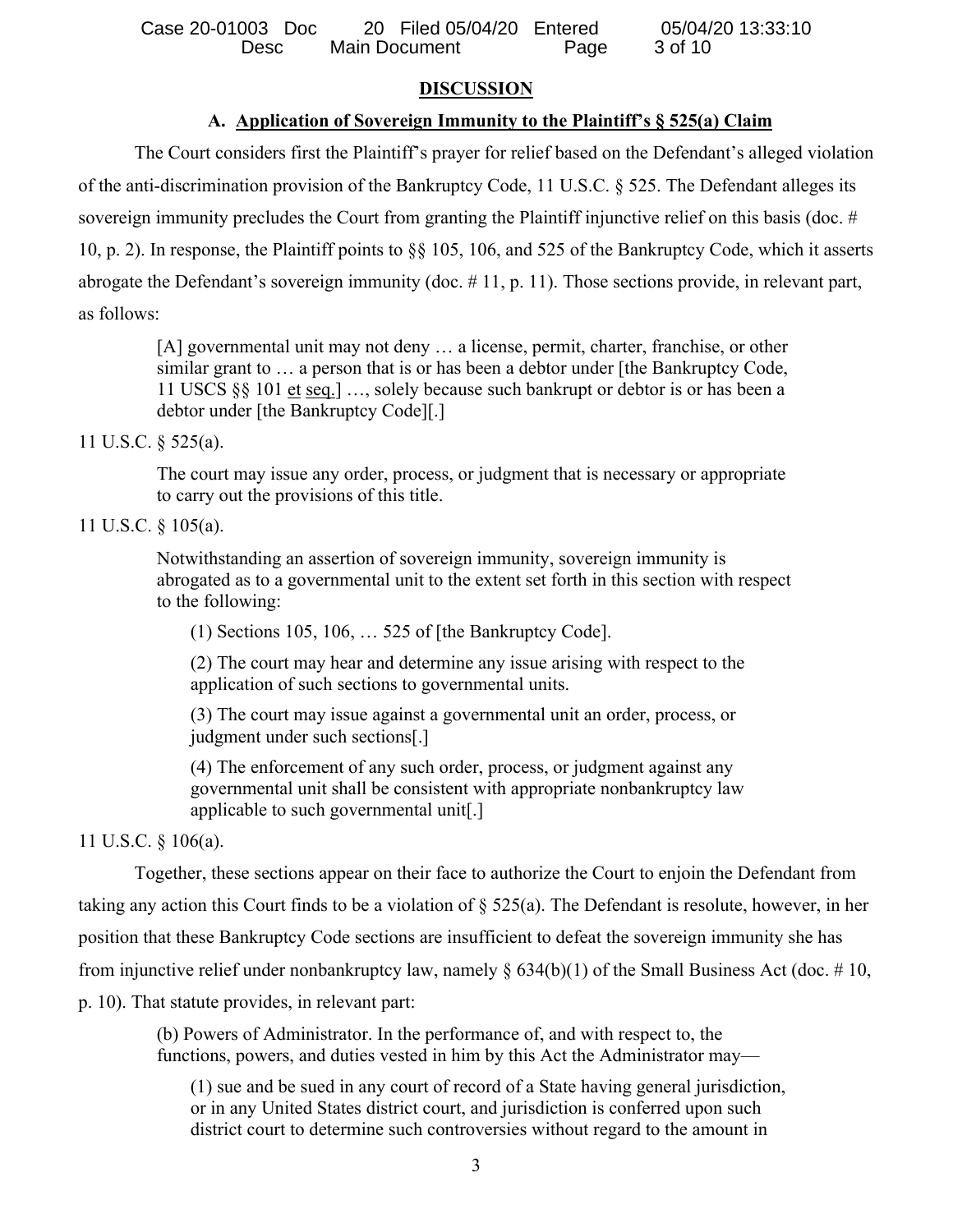#### **DISCUSSION**

## **A. Application of Sovereign Immunity to the Plaintiff's § 525(a) Claim**

 The Court considers first the Plaintiff's prayer for relief based on the Defendant's alleged violation of the anti-discrimination provision of the Bankruptcy Code, 11 U.S.C. § 525. The Defendant alleges its sovereign immunity precludes the Court from granting the Plaintiff injunctive relief on this basis (doc. # 10, p. 2). In response, the Plaintiff points to §§ 105, 106, and 525 of the Bankruptcy Code, which it asserts abrogate the Defendant's sovereign immunity (doc. # 11, p. 11). Those sections provide, in relevant part, as follows:

[A] governmental unit may not deny … a license, permit, charter, franchise, or other similar grant to … a person that is or has been a debtor under [the Bankruptcy Code, 11 USCS §§ 101 et seq.] …, solely because such bankrupt or debtor is or has been a debtor under [the Bankruptcy Code][.]

11 U.S.C. § 525(a).

The court may issue any order, process, or judgment that is necessary or appropriate to carry out the provisions of this title.

#### 11 U.S.C. § 105(a).

Notwithstanding an assertion of sovereign immunity, sovereign immunity is abrogated as to a governmental unit to the extent set forth in this section with respect to the following:

(1) Sections 105, 106, … 525 of [the Bankruptcy Code].

(2) The court may hear and determine any issue arising with respect to the application of such sections to governmental units.

(3) The court may issue against a governmental unit an order, process, or judgment under such sections[.]

(4) The enforcement of any such order, process, or judgment against any governmental unit shall be consistent with appropriate nonbankruptcy law applicable to such governmental unit[.]

## 11 U.S.C. § 106(a).

Together, these sections appear on their face to authorize the Court to enjoin the Defendant from taking any action this Court finds to be a violation of § 525(a). The Defendant is resolute, however, in her position that these Bankruptcy Code sections are insufficient to defeat the sovereign immunity she has from injunctive relief under nonbankruptcy law, namely  $\delta$  634(b)(1) of the Small Business Act (doc. #10, p. 10). That statute provides, in relevant part:

(b) Powers of Administrator. In the performance of, and with respect to, the functions, powers, and duties vested in him by this Act the Administrator may—

(1) sue and be sued in any court of record of a State having general jurisdiction, or in any United States district court, and jurisdiction is conferred upon such district court to determine such controversies without regard to the amount in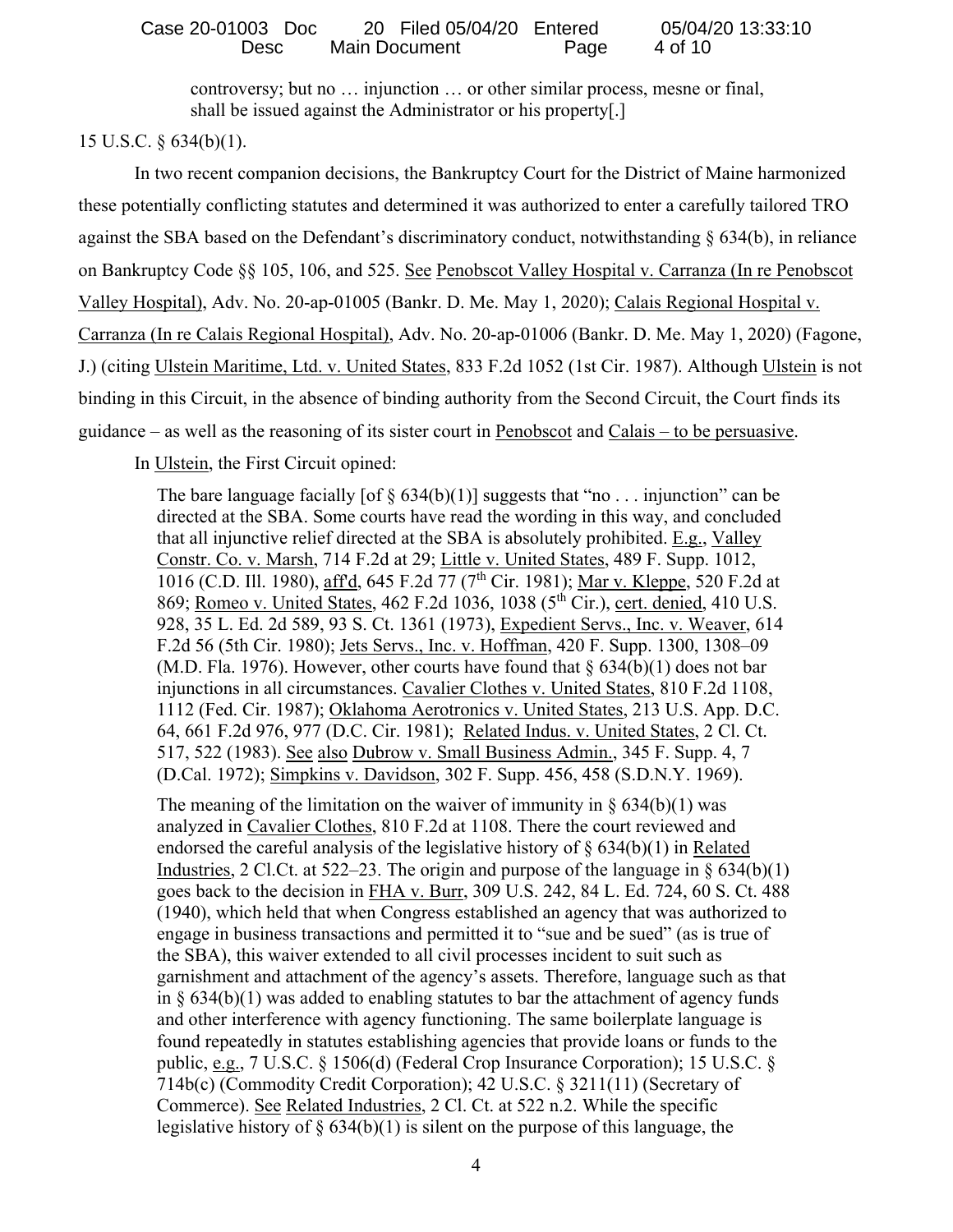controversy; but no … injunction … or other similar process, mesne or final, shall be issued against the Administrator or his property[.]

15 U.S.C. § 634(b)(1).

In two recent companion decisions, the Bankruptcy Court for the District of Maine harmonized these potentially conflicting statutes and determined it was authorized to enter a carefully tailored TRO against the SBA based on the Defendant's discriminatory conduct, notwithstanding  $\S$  634(b), in reliance on Bankruptcy Code §§ 105, 106, and 525. See Penobscot Valley Hospital v. Carranza (In re Penobscot Valley Hospital), Adv. No. 20-ap-01005 (Bankr. D. Me. May 1, 2020); Calais Regional Hospital v. Carranza (In re Calais Regional Hospital), Adv. No. 20-ap-01006 (Bankr. D. Me. May 1, 2020) (Fagone, J.) (citing Ulstein Maritime, Ltd. v. United States, 833 F.2d 1052 (1st Cir. 1987). Although Ulstein is not binding in this Circuit, in the absence of binding authority from the Second Circuit, the Court finds its guidance – as well as the reasoning of its sister court in Penobscot and Calais – to be persuasive.

In Ulstein, the First Circuit opined:

The bare language facially [of  $\S 634(b)(1)$ ] suggests that "no ... injunction" can be directed at the SBA. Some courts have read the wording in this way, and concluded that all injunctive relief directed at the SBA is absolutely prohibited. E.g., Valley Constr. Co. v. Marsh, 714 F.2d at 29; Little v. United States, 489 F. Supp. 1012, 1016 (C.D. Ill. 1980), aff<sup>'</sup>d, 645 F.2d 77 (7<sup>th</sup> Cir. 1981); Mar v. Kleppe, 520 F.2d at 869; Romeo v. United States, 462 F.2d 1036, 1038 (5<sup>th</sup> Cir.), cert. denied, 410 U.S. 928, 35 L. Ed. 2d 589, 93 S. Ct. 1361 (1973), Expedient Servs., Inc. v. Weaver, 614 F.2d 56 (5th Cir. 1980); Jets Servs., Inc. v. Hoffman, 420 F. Supp. 1300, 1308–09 (M.D. Fla. 1976). However, other courts have found that  $\S 634(b)(1)$  does not bar injunctions in all circumstances. Cavalier Clothes v. United States, 810 F.2d 1108, 1112 (Fed. Cir. 1987); Oklahoma Aerotronics v. United States, 213 U.S. App. D.C. 64, 661 F.2d 976, 977 (D.C. Cir. 1981); Related Indus. v. United States, 2 Cl. Ct. 517, 522 (1983). See also Dubrow v. Small Business Admin., 345 F. Supp. 4, 7 (D.Cal. 1972); Simpkins v. Davidson, 302 F. Supp. 456, 458 (S.D.N.Y. 1969).

The meaning of the limitation on the waiver of immunity in  $\S$  634(b)(1) was analyzed in Cavalier Clothes, 810 F.2d at 1108. There the court reviewed and endorsed the careful analysis of the legislative history of  $\S$  634(b)(1) in Related Industries, 2 Cl.Ct. at 522–23. The origin and purpose of the language in  $\S 634(b)(1)$ goes back to the decision in FHA v. Burr, 309 U.S. 242, 84 L. Ed. 724, 60 S. Ct. 488 (1940), which held that when Congress established an agency that was authorized to engage in business transactions and permitted it to "sue and be sued" (as is true of the SBA), this waiver extended to all civil processes incident to suit such as garnishment and attachment of the agency's assets. Therefore, language such as that in  $\S 634(b)(1)$  was added to enabling statutes to bar the attachment of agency funds and other interference with agency functioning. The same boilerplate language is found repeatedly in statutes establishing agencies that provide loans or funds to the public, e.g., 7 U.S.C. § 1506(d) (Federal Crop Insurance Corporation); 15 U.S.C. § 714b(c) (Commodity Credit Corporation); 42 U.S.C. § 3211(11) (Secretary of Commerce). See Related Industries, 2 Cl. Ct. at 522 n.2. While the specific legislative history of  $\S$  634(b)(1) is silent on the purpose of this language, the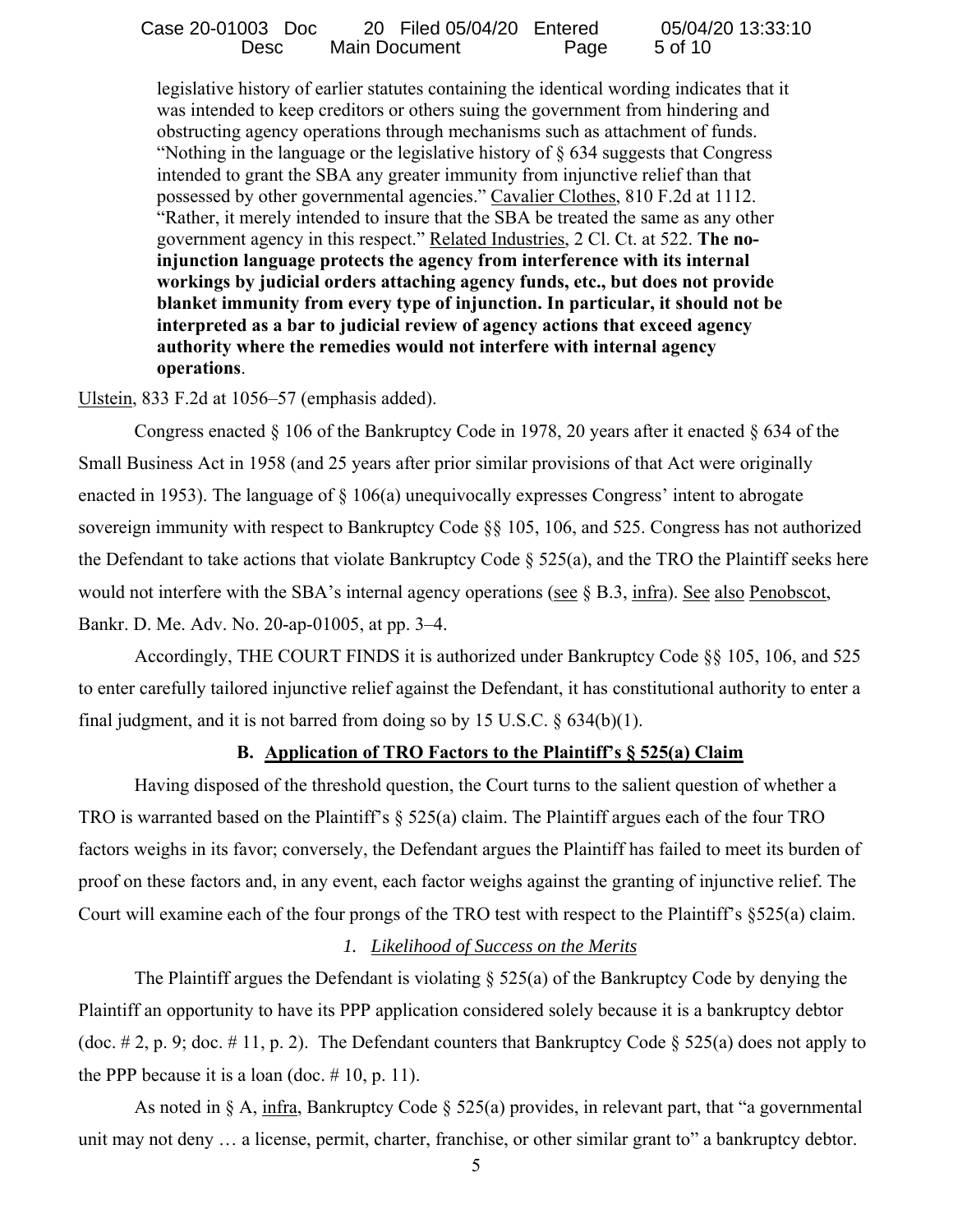legislative history of earlier statutes containing the identical wording indicates that it was intended to keep creditors or others suing the government from hindering and obstructing agency operations through mechanisms such as attachment of funds. "Nothing in the language or the legislative history of § 634 suggests that Congress intended to grant the SBA any greater immunity from injunctive relief than that possessed by other governmental agencies." Cavalier Clothes, 810 F.2d at 1112. "Rather, it merely intended to insure that the SBA be treated the same as any other government agency in this respect." Related Industries, 2 Cl. Ct. at 522. **The noinjunction language protects the agency from interference with its internal workings by judicial orders attaching agency funds, etc., but does not provide blanket immunity from every type of injunction. In particular, it should not be interpreted as a bar to judicial review of agency actions that exceed agency authority where the remedies would not interfere with internal agency operations**.

Ulstein, 833 F.2d at 1056–57 (emphasis added).

 Congress enacted § 106 of the Bankruptcy Code in 1978, 20 years after it enacted § 634 of the Small Business Act in 1958 (and 25 years after prior similar provisions of that Act were originally enacted in 1953). The language of § 106(a) unequivocally expresses Congress' intent to abrogate sovereign immunity with respect to Bankruptcy Code §§ 105, 106, and 525. Congress has not authorized the Defendant to take actions that violate Bankruptcy Code  $\S$  525(a), and the TRO the Plaintiff seeks here would not interfere with the SBA's internal agency operations (see  $\S$  B.3, infra). See also Penobscot, Bankr. D. Me. Adv. No. 20-ap-01005, at pp. 3–4.

Accordingly, THE COURT FINDS it is authorized under Bankruptcy Code §§ 105, 106, and 525 to enter carefully tailored injunctive relief against the Defendant, it has constitutional authority to enter a final judgment, and it is not barred from doing so by 15 U.S.C.  $\S$  634(b)(1).

#### **B. Application of TRO Factors to the Plaintiff's § 525(a) Claim**

Having disposed of the threshold question, the Court turns to the salient question of whether a TRO is warranted based on the Plaintiff's § 525(a) claim. The Plaintiff argues each of the four TRO factors weighs in its favor; conversely, the Defendant argues the Plaintiff has failed to meet its burden of proof on these factors and, in any event, each factor weighs against the granting of injunctive relief. The Court will examine each of the four prongs of the TRO test with respect to the Plaintiff's §525(a) claim.

#### *1. Likelihood of Success on the Merits*

The Plaintiff argues the Defendant is violating  $\S$  525(a) of the Bankruptcy Code by denying the Plaintiff an opportunity to have its PPP application considered solely because it is a bankruptcy debtor (doc. # 2, p. 9; doc. # 11, p. 2). The Defendant counters that Bankruptcy Code  $\S$  525(a) does not apply to the PPP because it is a loan (doc.  $# 10$ , p. 11).

As noted in  $\S$  A, infra, Bankruptcy Code  $\S$  525(a) provides, in relevant part, that "a governmental unit may not deny ... a license, permit, charter, franchise, or other similar grant to" a bankruptcy debtor.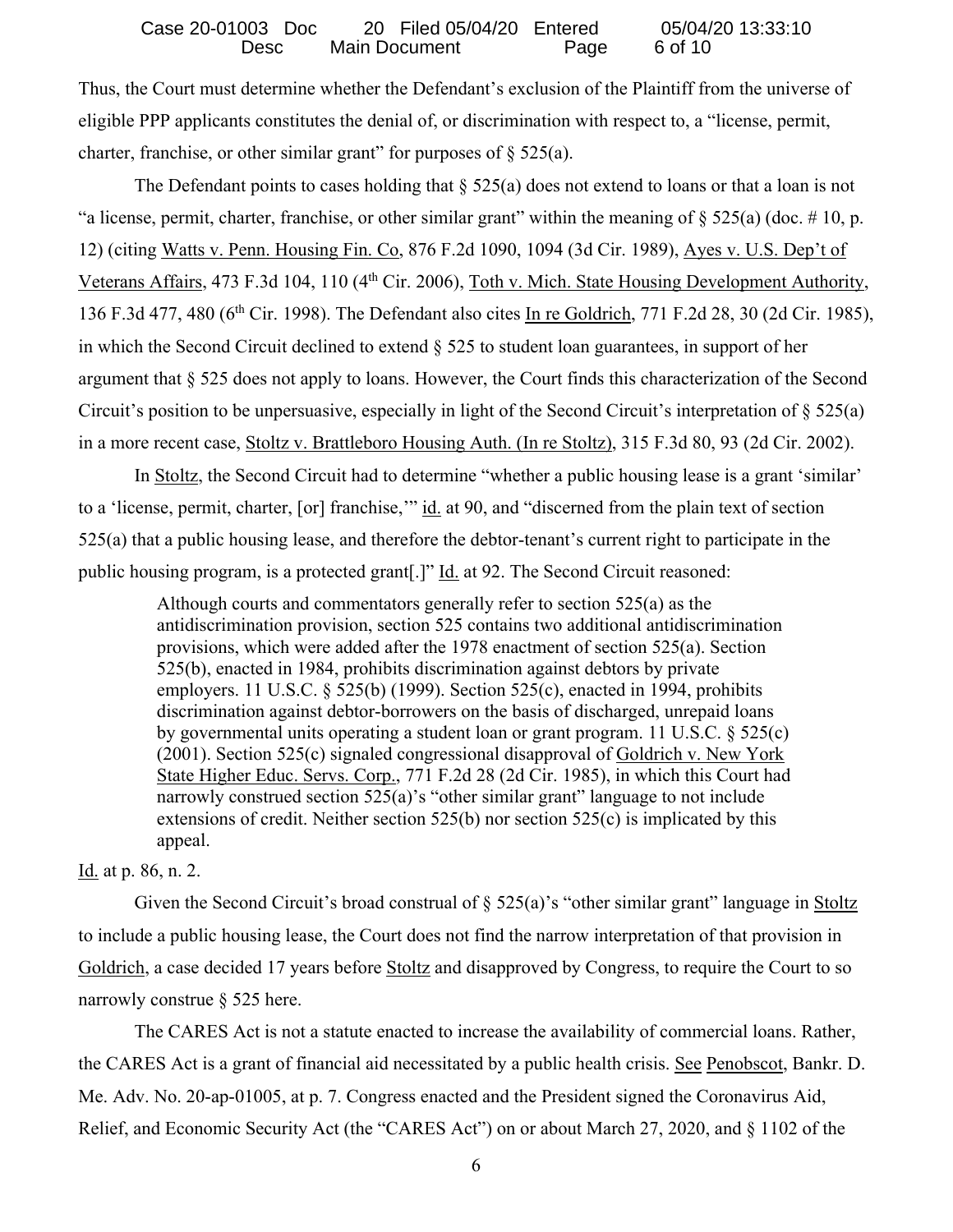Thus, the Court must determine whether the Defendant's exclusion of the Plaintiff from the universe of eligible PPP applicants constitutes the denial of, or discrimination with respect to, a "license, permit, charter, franchise, or other similar grant" for purposes of  $\S$  525(a).

The Defendant points to cases holding that  $\S$  525(a) does not extend to loans or that a loan is not "a license, permit, charter, franchise, or other similar grant" within the meaning of  $\S$  525(a) (doc. # 10, p. 12) (citing Watts v. Penn. Housing Fin. Co, 876 F.2d 1090, 1094 (3d Cir. 1989), Ayes v. U.S. Dep't of Veterans Affairs, 473 F.3d 104, 110 (4<sup>th</sup> Cir. 2006), Toth v. Mich. State Housing Development Authority, 136 F.3d 477, 480 (6<sup>th</sup> Cir. 1998). The Defendant also cites In re Goldrich, 771 F.2d 28, 30 (2d Cir. 1985), in which the Second Circuit declined to extend § 525 to student loan guarantees, in support of her argument that § 525 does not apply to loans. However, the Court finds this characterization of the Second Circuit's position to be unpersuasive, especially in light of the Second Circuit's interpretation of § 525(a) in a more recent case, Stoltz v. Brattleboro Housing Auth. (In re Stoltz), 315 F.3d 80, 93 (2d Cir. 2002).

In Stoltz, the Second Circuit had to determine "whether a public housing lease is a grant 'similar' to a 'license, permit, charter, [or] franchise,'" id. at 90, and "discerned from the plain text of section 525(a) that a public housing lease, and therefore the debtor-tenant's current right to participate in the public housing program, is a protected grant[.]" Id. at 92. The Second Circuit reasoned:

Although courts and commentators generally refer to section 525(a) as the antidiscrimination provision, section 525 contains two additional antidiscrimination provisions, which were added after the 1978 enactment of section 525(a). Section 525(b), enacted in 1984, prohibits discrimination against debtors by private employers. 11 U.S.C.  $\S$  525(b) (1999). Section 525(c), enacted in 1994, prohibits discrimination against debtor-borrowers on the basis of discharged, unrepaid loans by governmental units operating a student loan or grant program. 11 U.S.C. § 525(c) (2001). Section 525(c) signaled congressional disapproval of Goldrich v. New York State Higher Educ. Servs. Corp., 771 F.2d 28 (2d Cir. 1985), in which this Court had narrowly construed section 525(a)'s "other similar grant" language to not include extensions of credit. Neither section 525(b) nor section 525(c) is implicated by this appeal.

### Id. at p. 86, n. 2.

Given the Second Circuit's broad construal of  $\S$  525(a)'s "other similar grant" language in Stoltz to include a public housing lease, the Court does not find the narrow interpretation of that provision in Goldrich, a case decided 17 years before Stoltz and disapproved by Congress, to require the Court to so narrowly construe § 525 here.

The CARES Act is not a statute enacted to increase the availability of commercial loans. Rather, the CARES Act is a grant of financial aid necessitated by a public health crisis. See Penobscot, Bankr. D. Me. Adv. No. 20-ap-01005, at p. 7. Congress enacted and the President signed the Coronavirus Aid, Relief, and Economic Security Act (the "CARES Act") on or about March 27, 2020, and § 1102 of the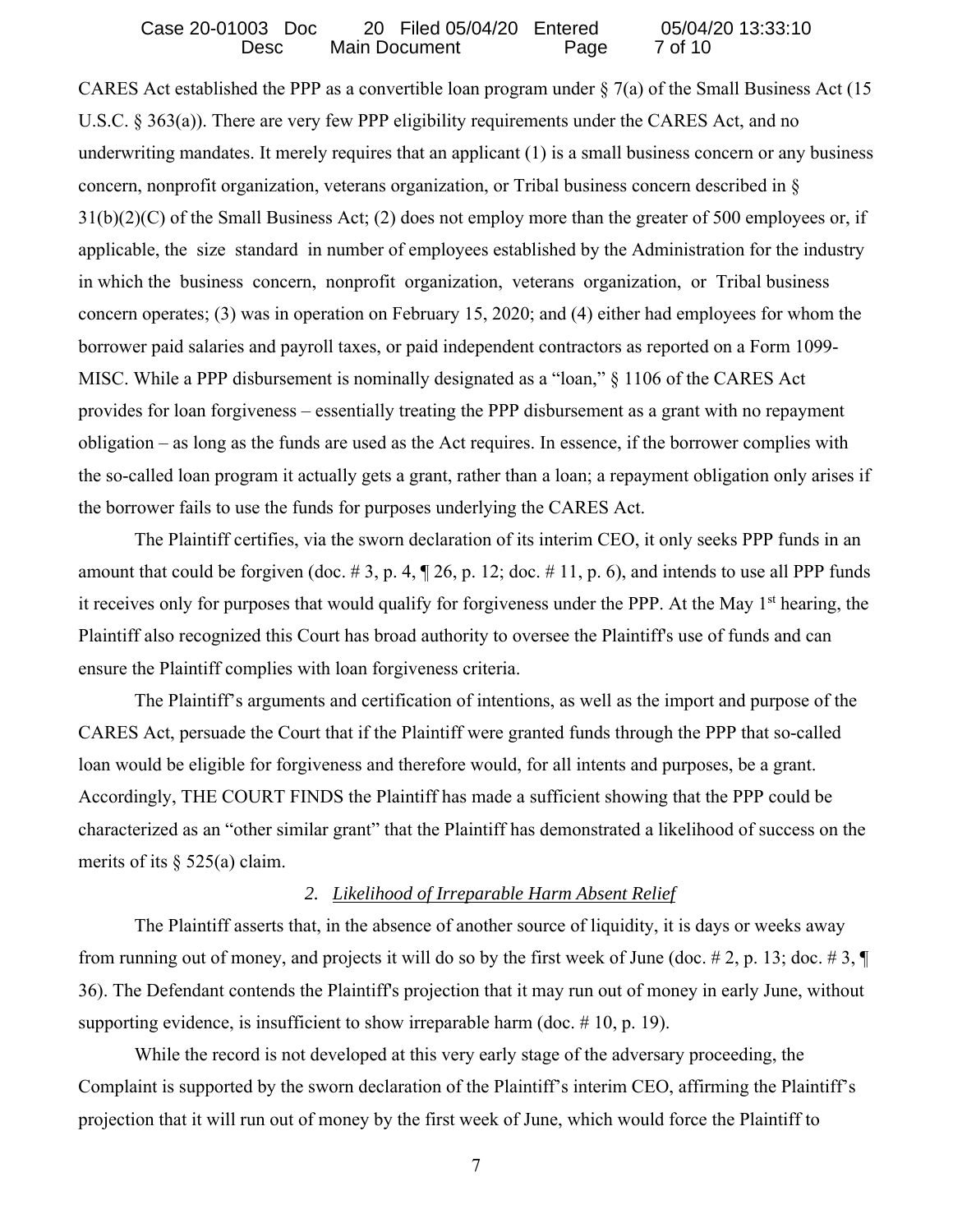CARES Act established the PPP as a convertible loan program under  $\S$  7(a) of the Small Business Act (15 U.S.C. § 363(a)). There are very few PPP eligibility requirements under the CARES Act, and no underwriting mandates. It merely requires that an applicant (1) is a small business concern or any business concern, nonprofit organization, veterans organization, or Tribal business concern described in §  $31(b)(2)(C)$  of the Small Business Act; (2) does not employ more than the greater of 500 employees or, if applicable, the size standard in number of employees established by the Administration for the industry in which the business concern, nonprofit organization, veterans organization, or Tribal business concern operates; (3) was in operation on February 15, 2020; and (4) either had employees for whom the borrower paid salaries and payroll taxes, or paid independent contractors as reported on a Form 1099- MISC. While a PPP disbursement is nominally designated as a "loan," § 1106 of the CARES Act provides for loan forgiveness – essentially treating the PPP disbursement as a grant with no repayment obligation – as long as the funds are used as the Act requires. In essence, if the borrower complies with the so-called loan program it actually gets a grant, rather than a loan; a repayment obligation only arises if the borrower fails to use the funds for purposes underlying the CARES Act.

The Plaintiff certifies, via the sworn declaration of its interim CEO, it only seeks PPP funds in an amount that could be forgiven (doc.  $\# 3$ , p. 4,  $\P$  26, p. 12; doc.  $\# 11$ , p. 6), and intends to use all PPP funds it receives only for purposes that would qualify for forgiveness under the PPP. At the May  $1<sup>st</sup>$  hearing, the Plaintiff also recognized this Court has broad authority to oversee the Plaintiff's use of funds and can ensure the Plaintiff complies with loan forgiveness criteria.

The Plaintiff's arguments and certification of intentions, as well as the import and purpose of the CARES Act, persuade the Court that if the Plaintiff were granted funds through the PPP that so-called loan would be eligible for forgiveness and therefore would, for all intents and purposes, be a grant. Accordingly, THE COURT FINDS the Plaintiff has made a sufficient showing that the PPP could be characterized as an "other similar grant" that the Plaintiff has demonstrated a likelihood of success on the merits of its  $\S$  525(a) claim.

# *2. Likelihood of Irreparable Harm Absent Relief*

The Plaintiff asserts that, in the absence of another source of liquidity, it is days or weeks away from running out of money, and projects it will do so by the first week of June (doc. #2, p. 13; doc. #3,  $\P$ 36). The Defendant contends the Plaintiff's projection that it may run out of money in early June, without supporting evidence, is insufficient to show irreparable harm (doc. #10, p. 19).

 While the record is not developed at this very early stage of the adversary proceeding, the Complaint is supported by the sworn declaration of the Plaintiff's interim CEO, affirming the Plaintiff's projection that it will run out of money by the first week of June, which would force the Plaintiff to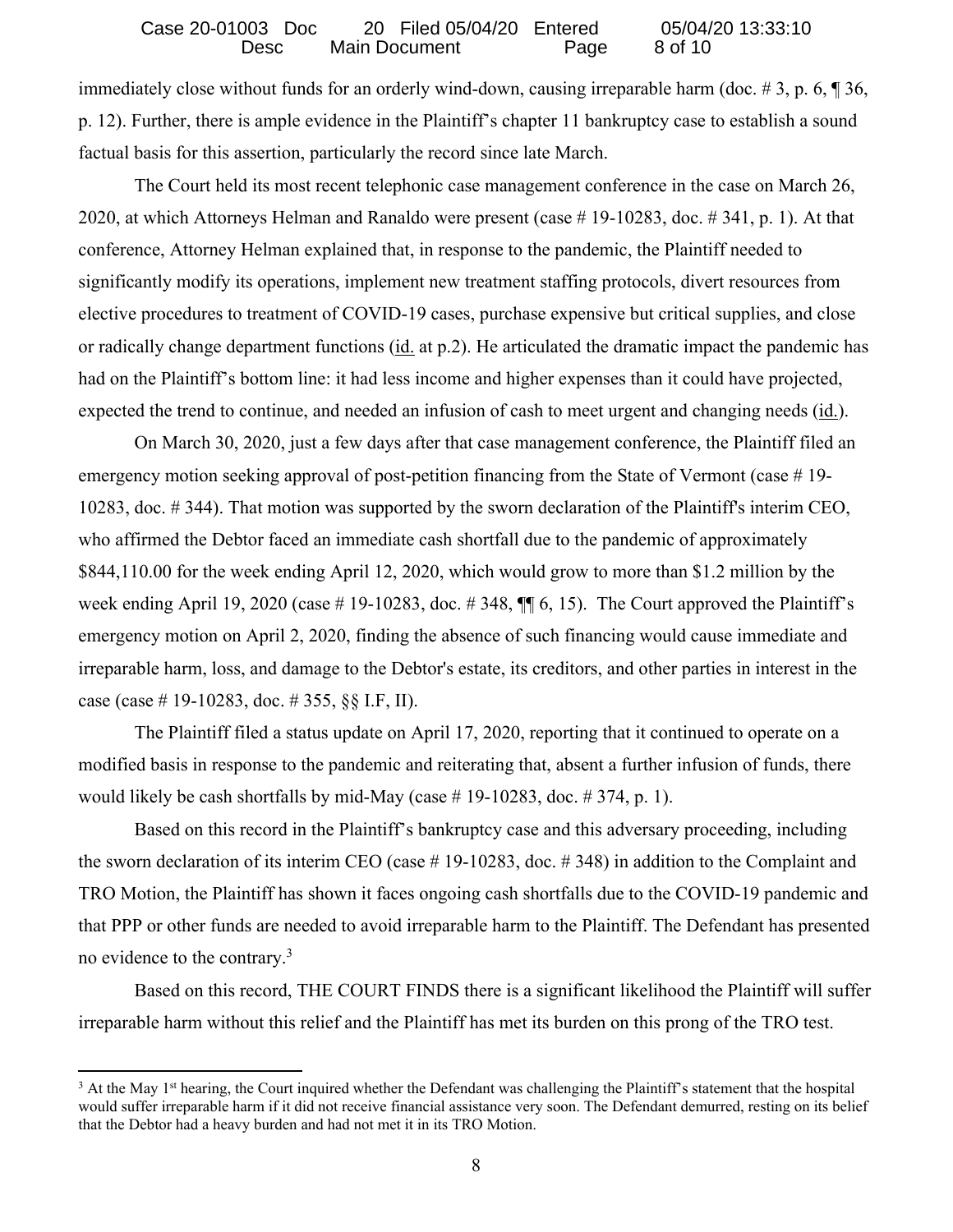immediately close without funds for an orderly wind-down, causing irreparable harm (doc. # 3, p. 6, ¶ 36, p. 12). Further, there is ample evidence in the Plaintiff's chapter 11 bankruptcy case to establish a sound factual basis for this assertion, particularly the record since late March.

The Court held its most recent telephonic case management conference in the case on March 26, 2020, at which Attorneys Helman and Ranaldo were present (case # 19-10283, doc. # 341, p. 1). At that conference, Attorney Helman explained that, in response to the pandemic, the Plaintiff needed to significantly modify its operations, implement new treatment staffing protocols, divert resources from elective procedures to treatment of COVID-19 cases, purchase expensive but critical supplies, and close or radically change department functions (id. at p.2). He articulated the dramatic impact the pandemic has had on the Plaintiff's bottom line: it had less income and higher expenses than it could have projected, expected the trend to continue, and needed an infusion of cash to meet urgent and changing needs (id.).

On March 30, 2020, just a few days after that case management conference, the Plaintiff filed an emergency motion seeking approval of post-petition financing from the State of Vermont (case #19-10283, doc. # 344). That motion was supported by the sworn declaration of the Plaintiff's interim CEO, who affirmed the Debtor faced an immediate cash shortfall due to the pandemic of approximately \$844,110.00 for the week ending April 12, 2020, which would grow to more than \$1.2 million by the week ending April 19, 2020 (case # 19-10283, doc. # 348,  $\P$  $[$  6, 15). The Court approved the Plaintiff's emergency motion on April 2, 2020, finding the absence of such financing would cause immediate and irreparable harm, loss, and damage to the Debtor's estate, its creditors, and other parties in interest in the case (case # 19-10283, doc. # 355, §§ I.F, II).

The Plaintiff filed a status update on April 17, 2020, reporting that it continued to operate on a modified basis in response to the pandemic and reiterating that, absent a further infusion of funds, there would likely be cash shortfalls by mid-May (case  $\#$  19-10283, doc.  $\#$  374, p. 1).

 Based on this record in the Plaintiff's bankruptcy case and this adversary proceeding, including the sworn declaration of its interim CEO (case # 19-10283, doc. # 348) in addition to the Complaint and TRO Motion, the Plaintiff has shown it faces ongoing cash shortfalls due to the COVID-19 pandemic and that PPP or other funds are needed to avoid irreparable harm to the Plaintiff. The Defendant has presented no evidence to the contrary.<sup>3</sup>

Based on this record, THE COURT FINDS there is a significant likelihood the Plaintiff will suffer irreparable harm without this relief and the Plaintiff has met its burden on this prong of the TRO test.

 $3$  At the May 1<sup>st</sup> hearing, the Court inquired whether the Defendant was challenging the Plaintiff's statement that the hospital would suffer irreparable harm if it did not receive financial assistance very soon. The Defendant demurred, resting on its belief that the Debtor had a heavy burden and had not met it in its TRO Motion.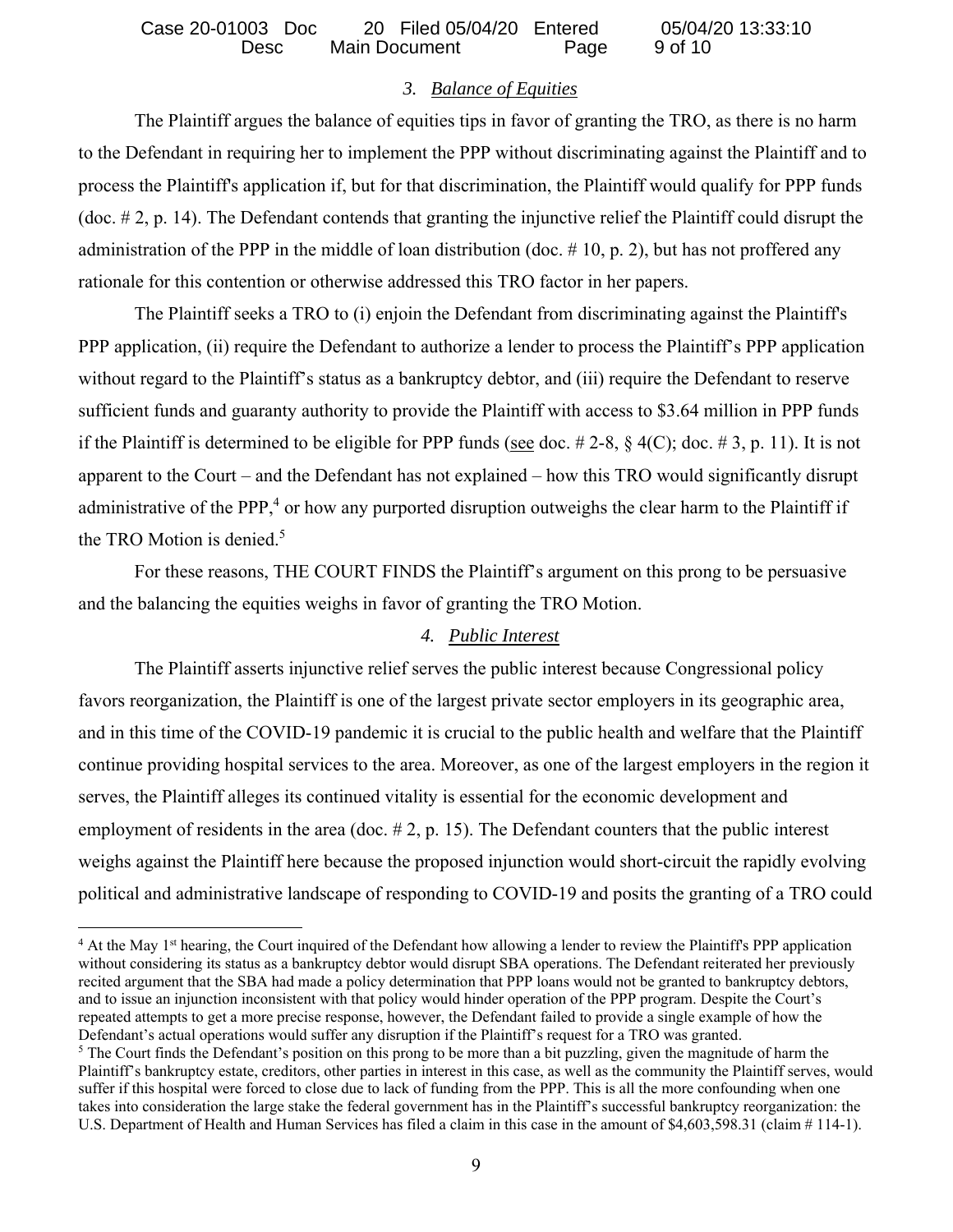# *3. Balance of Equities*

The Plaintiff argues the balance of equities tips in favor of granting the TRO, as there is no harm to the Defendant in requiring her to implement the PPP without discriminating against the Plaintiff and to process the Plaintiff's application if, but for that discrimination, the Plaintiff would qualify for PPP funds (doc. # 2, p. 14). The Defendant contends that granting the injunctive relief the Plaintiff could disrupt the administration of the PPP in the middle of loan distribution (doc.  $\# 10$ , p. 2), but has not proffered any rationale for this contention or otherwise addressed this TRO factor in her papers.

The Plaintiff seeks a TRO to (i) enjoin the Defendant from discriminating against the Plaintiff's PPP application, (ii) require the Defendant to authorize a lender to process the Plaintiff's PPP application without regard to the Plaintiff's status as a bankruptcy debtor, and (iii) require the Defendant to reserve sufficient funds and guaranty authority to provide the Plaintiff with access to \$3.64 million in PPP funds if the Plaintiff is determined to be eligible for PPP funds (see doc. #2-8,  $\S$  4(C); doc. #3, p. 11). It is not apparent to the Court – and the Defendant has not explained – how this TRO would significantly disrupt administrative of the PPP,<sup>4</sup> or how any purported disruption outweighs the clear harm to the Plaintiff if the TRO Motion is denied.<sup>5</sup>

For these reasons, THE COURT FINDS the Plaintiff's argument on this prong to be persuasive and the balancing the equities weighs in favor of granting the TRO Motion.

# *4. Public Interest*

The Plaintiff asserts injunctive relief serves the public interest because Congressional policy favors reorganization, the Plaintiff is one of the largest private sector employers in its geographic area, and in this time of the COVID-19 pandemic it is crucial to the public health and welfare that the Plaintiff continue providing hospital services to the area. Moreover, as one of the largest employers in the region it serves, the Plaintiff alleges its continued vitality is essential for the economic development and employment of residents in the area (doc.  $\# 2$ , p. 15). The Defendant counters that the public interest weighs against the Plaintiff here because the proposed injunction would short-circuit the rapidly evolving political and administrative landscape of responding to COVID-19 and posits the granting of a TRO could

<sup>&</sup>lt;sup>4</sup> At the May 1<sup>st</sup> hearing, the Court inquired of the Defendant how allowing a lender to review the Plaintiff's PPP application without considering its status as a bankruptcy debtor would disrupt SBA operations. The Defendant reiterated her previously recited argument that the SBA had made a policy determination that PPP loans would not be granted to bankruptcy debtors, and to issue an injunction inconsistent with that policy would hinder operation of the PPP program. Despite the Court's repeated attempts to get a more precise response, however, the Defendant failed to provide a single example of how the Defendant's actual operations would suffer any disruption if the Plaintiff's request for a TRO was granted.

<sup>&</sup>lt;sup>5</sup> The Court finds the Defendant's position on this prong to be more than a bit puzzling, given the magnitude of harm the Plaintiff's bankruptcy estate, creditors, other parties in interest in this case, as well as the community the Plaintiff serves, would suffer if this hospital were forced to close due to lack of funding from the PPP. This is all the more confounding when one takes into consideration the large stake the federal government has in the Plaintiff's successful bankruptcy reorganization: the U.S. Department of Health and Human Services has filed a claim in this case in the amount of \$4,603,598.31 (claim # 114-1).